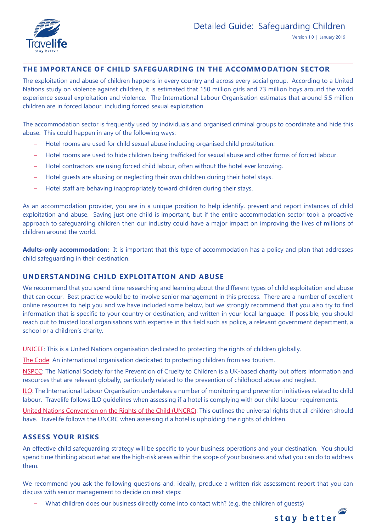

# **THE IMPORTANCE OF CHILD SAFEGUARDING IN THE ACCOMMODATION SECTOR**

The exploitation and abuse of children happens in every country and across every social group. According to a United Nations study on violence against children, it is estimated that 150 million girls and 73 million boys around the world experience sexual exploitation and violence. The International Labour Organisation estimates that around 5.5 million children are in forced labour, including forced sexual exploitation.

The accommodation sector is frequently used by individuals and organised criminal groups to coordinate and hide this abuse. This could happen in any of the following ways:

- Hotel rooms are used for child sexual abuse including organised child prostitution.
- Hotel rooms are used to hide children being trafficked for sexual abuse and other forms of forced labour.
- Hotel contractors are using forced child labour, often without the hotel ever knowing.
- Hotel guests are abusing or neglecting their own children during their hotel stays.
- Hotel staff are behaving inappropriately toward children during their stays.

As an accommodation provider, you are in a unique position to help identify, prevent and report instances of child exploitation and abuse. Saving just one child is important, but if the entire accommodation sector took a proactive approach to safeguarding children then our industry could have a major impact on improving the lives of millions of children around the world.

**Adults-only accommodation:** It is important that this type of accommodation has a policy and plan that addresses child safeguarding in their destination.

#### **UNDERSTANDING CHILD EXPLOITATION AND ABUSE**

We recommend that you spend time researching and learning about the different types of child exploitation and abuse that can occur. Best practice would be to involve senior management in this process. There are a number of excellent online resources to help you and we have included some below, but we strongly recommend that you also try to find information that is specific to your country or destination, and written in your local language. If possible, you should reach out to trusted local organisations with expertise in this field such as police, a relevant government department, a school or a children's charity.

[UNICEF:](https://www.unicef.org/) This is a United Nations organisation dedicated to protecting the rights of children globally.

[The Code:](http://www.thecode.org/) An international organisation dedicated to protecting children from sex tourism.

[NSPCC:](https://www.nspcc.org.uk/what-you-can-do/make-a-donation/?source=ppc-brand&utm_source=google&utm_medium=cpc&gclsrc=aw.ds&&gclid=CjwKCAiAmO3gBRBBEiwA8d0Q4rrzFOC8uVgO1EScll1K74ofW9x64aCUD4LUvtq9HE_RCRYG2d7bxBoC8u8QAvD_BwE&gclsrc=aw.ds) The National Society for the Prevention of Cruelty to Children is a UK-based charity but offers information and resources that are relevant globally, particularly related to the prevention of childhood abuse and neglect.

[ILO:](https://www.ilo.org/global/topics/child-labour/lang--en/index.htm) The International Labour Organisation undertakes a number of monitoring and prevention initiatives related to child labour. Travelife follows ILO guidelines when assessing if a hotel is complying with our child labour requirements.

[United Nations Convention on the Rights of the Child \(UNCRC\):](http://www.unicef.org.uk/wp-content/uploads/2010/05/UNCRC_summary-1.pdf) This outlines the universal rights that all children should have. Travelife follows the UNCRC when assessing if a hotel is upholding the rights of children.

### **ASSESS YOUR RISKS**

An effective child safeguarding strategy will be specific to your business operations and your destination. You should spend time thinking about what are the high-risk areas within the scope of your business and what you can do to address them.

We recommend you ask the following questions and, ideally, produce a written risk assessment report that you can discuss with senior management to decide on next steps:

– What children does our business directly come into contact with? (e.g. the children of guests)

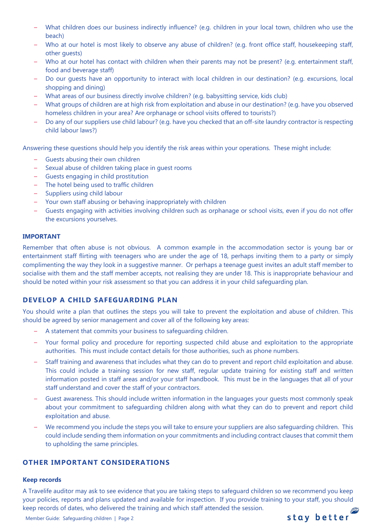- What children does our business indirectly influence? (e.g. children in your local town, children who use the beach)
- Who at our hotel is most likely to observe any abuse of children? (e.g. front office staff, housekeeping staff, other guests)
- Who at our hotel has contact with children when their parents may not be present? (e.g. entertainment staff, food and beverage staff)
- Do our guests have an opportunity to interact with local children in our destination? (e.g. excursions, local shopping and dining)
- What areas of our business directly involve children? (e.g. babysitting service, kids club)
- What groups of children are at high risk from exploitation and abuse in our destination? (e.g. have you observed homeless children in your area? Are orphanage or school visits offered to tourists?)
- Do any of our suppliers use child labour? (e.g. have you checked that an off-site laundry contractor is respecting child labour laws?)

Answering these questions should help you identify the risk areas within your operations. These might include:

- Guests abusing their own children
- Sexual abuse of children taking place in guest rooms
- Guests engaging in child prostitution
- The hotel being used to traffic children
- Suppliers using child labour
- Your own staff abusing or behaving inappropriately with children
- Guests engaging with activities involving children such as orphanage or school visits, even if you do not offer the excursions yourselves.

#### **IMPORTANT**

Remember that often abuse is not obvious. A common example in the accommodation sector is young bar or entertainment staff flirting with teenagers who are under the age of 18, perhaps inviting them to a party or simply complimenting the way they look in a suggestive manner. Or perhaps a teenage guest invites an adult staff member to socialise with them and the staff member accepts, not realising they are under 18. This is inappropriate behaviour and should be noted within your risk assessment so that you can address it in your child safeguarding plan.

# **DEVELOP A CHILD SAFEGUARDING PLAN**

You should write a plan that outlines the steps you will take to prevent the exploitation and abuse of children. This should be agreed by senior management and cover all of the following key areas:

- A statement that commits your business to safeguarding children.
- Your formal policy and procedure for reporting suspected child abuse and exploitation to the appropriate authorities. This must include contact details for those authorities, such as phone numbers.
- Staff training and awareness that includes what they can do to prevent and report child exploitation and abuse. This could include a training session for new staff, regular update training for existing staff and written information posted in staff areas and/or your staff handbook. This must be in the languages that all of your staff understand and cover the staff of your contractors.
- Guest awareness. This should include written information in the languages your guests most commonly speak about your commitment to safeguarding children along with what they can do to prevent and report child exploitation and abuse.
- We recommend you include the steps you will take to ensure your suppliers are also safeguarding children. This could include sending them information on your commitments and including contract clauses that commit them to upholding the same principles.

## **OTHER IMPORTANT CONSIDERATIONS**

#### **Keep records**

A Travelife auditor may ask to see evidence that you are taking steps to safeguard children so we recommend you keep your policies, reports and plans updated and available for inspection. If you provide training to your staff, you should keep records of dates, who delivered the training and which staff attended the session.